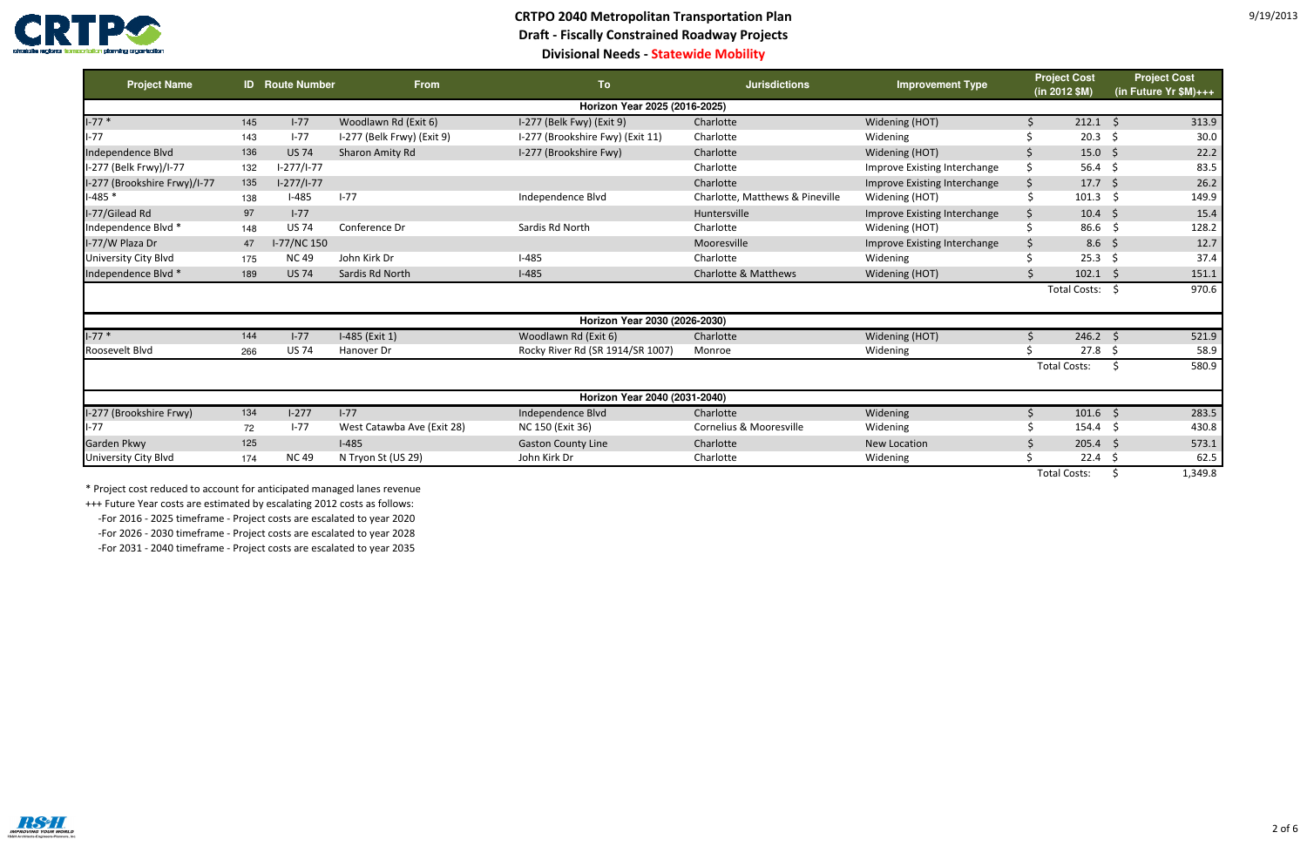

## **CRTPO 2040 Metropolitan Transportation Plan Draft - Fiscally Constrained Roadway ProjectsDivisional Needs - Statewide Mobility**

| <b>Project Name</b>           |     | <b>ID</b> Route Number | <b>From</b>                | To                               | <b>Jurisdictions</b>            | <b>Improvement Type</b>      | <b>Project Cost</b><br>(in 2012 \$M) |                     | <b>Project Cost</b><br>(in Future Yr \$M)+++ |  |  |
|-------------------------------|-----|------------------------|----------------------------|----------------------------------|---------------------------------|------------------------------|--------------------------------------|---------------------|----------------------------------------------|--|--|
| Horizon Year 2025 (2016-2025) |     |                        |                            |                                  |                                 |                              |                                      |                     |                                              |  |  |
| $I-77*$                       | 145 | $I-77$                 | Woodlawn Rd (Exit 6)       | I-277 (Belk Fwy) (Exit 9)        | Charlotte                       | Widening (HOT)               |                                      | 212.1               | 313.9<br>- S                                 |  |  |
| $I-77$                        | 143 | $I-77$                 | I-277 (Belk Frwy) (Exit 9) | I-277 (Brookshire Fwy) (Exit 11) | Charlotte                       | Widening                     |                                      | $20.3 \quad $$      | 30.0                                         |  |  |
| Independence Blvd             | 136 | <b>US 74</b>           | Sharon Amity Rd            | I-277 (Brookshire Fwy)           | Charlotte                       | Widening (HOT)               | \$.                                  | $15.0\frac{2}{5}$   | 22.2                                         |  |  |
| I-277 (Belk Frwy)/I-77        | 132 | $1-277/1-77$           |                            |                                  | Charlotte                       | Improve Existing Interchange | Ś.                                   | 56.4 \$             | 83.5                                         |  |  |
| I-277 (Brookshire Frwy)/I-77  | 135 | $1-277/1-77$           |                            |                                  | Charlotte                       | Improve Existing Interchange | \$                                   | $17.7\frac{1}{2}$   | 26.2                                         |  |  |
| $-485$ *                      | 138 | $I-485$                | $I-77$                     | Independence Blvd                | Charlotte, Matthews & Pineville | Widening (HOT)               |                                      | $101.3 \quad $$     | 149.9                                        |  |  |
| I-77/Gilead Rd                | 97  | $I-77$                 |                            |                                  | Huntersville                    | Improve Existing Interchange | \$                                   | $10.4 \div$         | 15.4                                         |  |  |
| Independence Blvd *           | 148 | <b>US 74</b>           | Conference Dr              | Sardis Rd North                  | Charlotte                       | Widening (HOT)               | \$                                   | $86.6\frac{1}{2}$   | 128.2                                        |  |  |
| I-77/W Plaza Dr               | 47  | I-77/NC 150            |                            |                                  | Mooresville                     | Improve Existing Interchange | \$                                   | $8.6\frac{2}{3}$    | 12.7                                         |  |  |
| <b>University City Blvd</b>   | 175 | <b>NC49</b>            | John Kirk Dr               | $I-485$                          | Charlotte                       | Widening                     | \$                                   | $25.3$ \$           | 37.4                                         |  |  |
| Independence Blvd *           | 189 | <b>US 74</b>           | Sardis Rd North            | $I-485$                          | Charlotte & Matthews            | Widening (HOT)               |                                      | $102.1$ \$          | 151.1                                        |  |  |
|                               |     |                        |                            |                                  |                                 |                              |                                      | Total Costs: \$     | 970.6                                        |  |  |
|                               |     |                        |                            | Horizon Year 2030 (2026-2030)    |                                 |                              |                                      |                     |                                              |  |  |
| $I - 77$ *                    | 144 | $I-77$                 | I-485 (Exit 1)             | Woodlawn Rd (Exit 6)             | Charlotte                       | Widening (HOT)               |                                      | $246.2$ \$          | 521.9                                        |  |  |
| Roosevelt Blvd                | 266 | <b>US 74</b>           | Hanover Dr                 | Rocky River Rd (SR 1914/SR 1007) | Monroe                          | Widening                     |                                      | $27.8\frac{1}{2}$   | 58.9                                         |  |  |
|                               |     |                        |                            |                                  |                                 |                              |                                      | <b>Total Costs:</b> | 580.9<br>-S                                  |  |  |
|                               |     |                        |                            | Horizon Year 2040 (2031-2040)    |                                 |                              |                                      |                     |                                              |  |  |
| I-277 (Brookshire Frwy)       | 134 | $I-277$                | $I-77$                     | Independence Blvd                | Charlotte                       | Widening                     |                                      | $101.6$ \$          | 283.5                                        |  |  |
| $I-77$                        | 72  | $I-77$                 | West Catawba Ave (Exit 28) | NC 150 (Exit 36)                 | Cornelius & Mooresville         | Widening                     |                                      | $154.4\frac{1}{5}$  | 430.8                                        |  |  |
| Garden Pkwy                   | 125 |                        | $I-485$                    | <b>Gaston County Line</b>        | Charlotte                       | <b>New Location</b>          | Ŝ.                                   | $205.4$ \$          | 573.1                                        |  |  |
| <b>University City Blvd</b>   | 174 | <b>NC49</b>            | N Tryon St (US 29)         | John Kirk Dr                     | Charlotte                       | Widening                     |                                      | $22.4 \div$         | 62.5                                         |  |  |
|                               |     |                        |                            |                                  |                                 |                              |                                      | <b>Total Costs:</b> | 1,349.8<br>-S                                |  |  |

\* Project cost reduced to account for anticipated managed lanes revenue

+++ Future Year costs are estimated by escalating 2012 costs as follows:

-For 2016 - 2025 timeframe - Project costs are escalated to year 2020

-For 2026 - 2030 timeframe - Project costs are escalated to year 2028

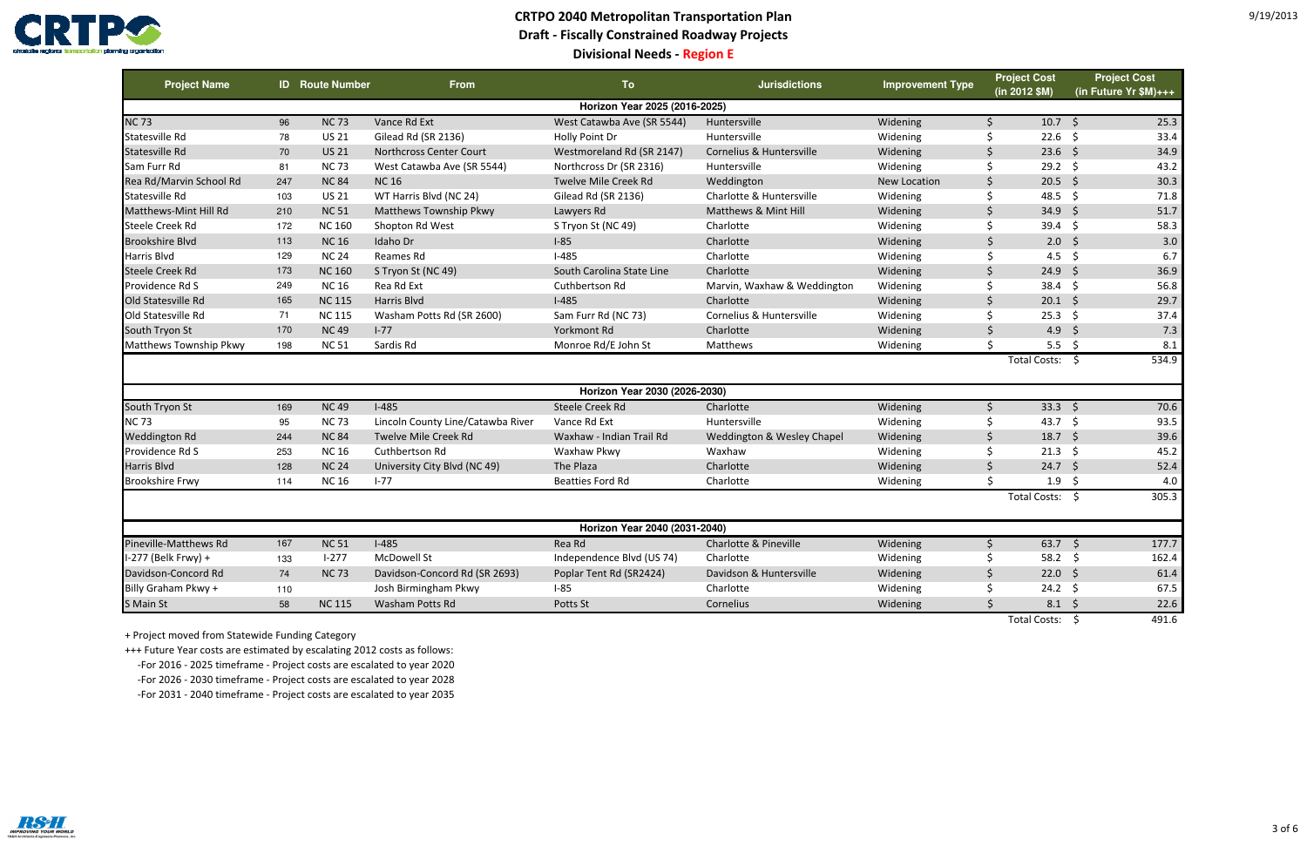

## **CRTPO 2040 Metropolitan Transportation Plan Draft - Fiscally Constrained Roadway ProjectsDivisional Needs - Region E**

| <b>Project Name</b>           |     | <b>ID</b> Route Number | <b>From</b>                       | <b>To</b>                     | <b>Jurisdictions</b>        | <b>Improvement Type</b> | <b>Project Cost</b><br>(in 2012 \$M) | <b>Project Cost</b><br>(in Future Yr $M$ )+++ |  |  |  |
|-------------------------------|-----|------------------------|-----------------------------------|-------------------------------|-----------------------------|-------------------------|--------------------------------------|-----------------------------------------------|--|--|--|
| Horizon Year 2025 (2016-2025) |     |                        |                                   |                               |                             |                         |                                      |                                               |  |  |  |
| <b>NC73</b>                   | 96  | <b>NC73</b>            | Vance Rd Ext                      | West Catawba Ave (SR 5544)    | Huntersville                | Widening                | $10.7 \quad$ \$<br>Ŝ.                | 25.3                                          |  |  |  |
| Statesville Rd                | 78  | <b>US 21</b>           | Gilead Rd (SR 2136)               | Holly Point Dr                | Huntersville                | Widening                | \$<br>$22.6$ \$                      | 33.4                                          |  |  |  |
| <b>Statesville Rd</b>         | 70  | <b>US 21</b>           | <b>Northcross Center Court</b>    | Westmoreland Rd (SR 2147)     | Cornelius & Huntersville    | Widening                | 23.6<br><sup>S</sup>                 | S.<br>34.9                                    |  |  |  |
| Sam Furr Rd                   | 81  | <b>NC73</b>            | West Catawba Ave (SR 5544)        | Northcross Dr (SR 2316)       | Huntersville                | Widening                | \$<br>$29.2 \quad $$                 | 43.2                                          |  |  |  |
| Rea Rd/Marvin School Rd       | 247 | <b>NC 84</b>           | <b>NC16</b>                       | Twelve Mile Creek Rd          | Weddington                  | New Location            | 20.5<br><sup>5</sup>                 | 30.3<br>S.                                    |  |  |  |
| Statesville Rd                | 103 | <b>US 21</b>           | WT Harris Blvd (NC 24)            | Gilead Rd (SR 2136)           | Charlotte & Huntersville    | Widening                | 48.5<br>Ś.                           | $\zeta$<br>71.8                               |  |  |  |
| Matthews-Mint Hill Rd         | 210 | <b>NC 51</b>           | <b>Matthews Township Pkwy</b>     | Lawyers Rd                    | Matthews & Mint Hill        | Widening                | $\zeta$<br>34.9                      | S.<br>51.7                                    |  |  |  |
| <b>Steele Creek Rd</b>        | 172 | <b>NC 160</b>          | Shopton Rd West                   | S Tryon St (NC 49)            | Charlotte                   | Widening                | $39.4 \quad $5$<br>Ŝ.                | 58.3                                          |  |  |  |
| <b>Brookshire Blvd</b>        | 113 | <b>NC16</b>            | Idaho Dr                          | $I-85$                        | Charlotte                   | Widening                | 2.0<br>$\varsigma$                   | 3.0<br>$\zeta$                                |  |  |  |
| <b>Harris Blvd</b>            | 129 | <b>NC 24</b>           | Reames Rd                         | $I-485$                       | Charlotte                   | Widening                | ς.<br>4.5                            | $\zeta$<br>6.7                                |  |  |  |
| <b>Steele Creek Rd</b>        | 173 | <b>NC 160</b>          | S Tryon St (NC 49)                | South Carolina State Line     | Charlotte                   | Widening                | 24.9<br>Ŝ.                           | 36.9<br>S.                                    |  |  |  |
| Providence Rd S               | 249 | <b>NC16</b>            | Rea Rd Ext                        | Cuthbertson Rd                | Marvin, Waxhaw & Weddington | Widening                | $38.4 \quad $5$<br>Ś                 | 56.8                                          |  |  |  |
| Old Statesville Rd            | 165 | <b>NC 115</b>          | Harris Blvd                       | $I-485$                       | Charlotte                   | Widening                | $\zeta$<br>$20.1 \quad $5$           | 29.7                                          |  |  |  |
| Old Statesville Rd            | 71  | <b>NC 115</b>          | Washam Potts Rd (SR 2600)         | Sam Furr Rd (NC 73)           | Cornelius & Huntersville    | Widening                | \$<br>$25.3$ \$                      | 37.4                                          |  |  |  |
| South Tryon St                | 170 | <b>NC49</b>            | $I - 77$                          | Yorkmont Rd                   | Charlotte                   | Widening                | 4.9<br><sup>5</sup>                  | $\zeta$<br>7.3                                |  |  |  |
| Matthews Township Pkwy        | 198 | <b>NC 51</b>           | Sardis Rd                         | Monroe Rd/E John St           | Matthews                    | Widening                | $\zeta$<br>5.5                       | \$<br>8.1                                     |  |  |  |
|                               |     |                        |                                   |                               |                             |                         | <b>Total Costs:</b>                  | 534.9<br>- \$                                 |  |  |  |
|                               |     |                        |                                   | Horizon Year 2030 (2026-2030) |                             |                         |                                      |                                               |  |  |  |
| South Tryon St                | 169 | <b>NC49</b>            | $I-485$                           | Steele Creek Rd               | Charlotte                   | Widening                | $33.3$ \$<br>Ŝ.                      | 70.6                                          |  |  |  |
| <b>NC73</b>                   | 95  | <b>NC73</b>            | Lincoln County Line/Catawba River | Vance Rd Ext                  | Huntersville                | Widening                | Ŝ.<br>43.7 \$                        | 93.5                                          |  |  |  |
| <b>Weddington Rd</b>          | 244 | <b>NC 84</b>           | Twelve Mile Creek Rd              | Waxhaw - Indian Trail Rd      | Weddington & Wesley Chapel  | Widening                | $18.7 \quad $$<br>\$                 | 39.6                                          |  |  |  |
| Providence Rd S               | 253 | <b>NC16</b>            | Cuthbertson Rd                    | Waxhaw Pkwy                   | Waxhaw                      | Widening                | \$<br>21.3                           | 45.2<br>\$                                    |  |  |  |
| <b>Harris Blvd</b>            | 128 | <b>NC 24</b>           | University City Blvd (NC 49)      | The Plaza                     | Charlotte                   | Widening                | $\zeta$<br>24.7                      | $\zeta$<br>52.4                               |  |  |  |
| <b>Brookshire Frwy</b>        | 114 | <b>NC16</b>            | $1-77$                            | <b>Beatties Ford Rd</b>       | Charlotte                   | Widening                | $\zeta$<br>1.9                       | -Ś<br>4.0                                     |  |  |  |
|                               |     |                        |                                   |                               |                             |                         | <b>Total Costs:</b>                  | 305.3<br>S.                                   |  |  |  |
|                               |     |                        |                                   | Horizon Year 2040 (2031-2040) |                             |                         |                                      |                                               |  |  |  |
| Pineville-Matthews Rd         | 167 | <b>NC 51</b>           | $I-485$                           | Rea Rd                        | Charlotte & Pineville       | Widening                | 63.7<br>\$                           | 177.7<br>$\zeta$                              |  |  |  |
| I-277 (Belk Frwy) +           | 133 | $1 - 277$              | McDowell St                       | Independence Blvd (US 74)     | Charlotte                   | Widening                | $\zeta$<br>58.2                      | Ŝ.<br>162.4                                   |  |  |  |
| Davidson-Concord Rd           | 74  | <b>NC73</b>            | Davidson-Concord Rd (SR 2693)     | Poplar Tent Rd (SR2424)       | Davidson & Huntersville     | Widening                | <sup>5</sup><br>$22.0\frac{1}{5}$    | 61.4                                          |  |  |  |
| Billy Graham Pkwy +           | 110 |                        | Josh Birmingham Pkwy              | $I-85$                        | Charlotte                   | Widening                | 24.2                                 | \$<br>67.5                                    |  |  |  |
| S Main St                     | 58  | <b>NC 115</b>          | <b>Washam Potts Rd</b>            | Potts St                      | Cornelius                   | Widening                | $\zeta$<br>8.1                       | S.<br>22.6                                    |  |  |  |
|                               |     |                        |                                   |                               |                             |                         | <b>Total Costs:</b>                  | \$<br>491.6                                   |  |  |  |

+ Project moved from Statewide Funding Category

 +++ Future Year costs are estimated by escalating 2012 costs as follows: -For 2016 - 2025 timeframe - Project costs are escalated to year 2020 -For 2026 - 2030 timeframe - Project costs are escalated to year 2028-For 2031 - 2040 timeframe - Project costs are escalated to year 2035

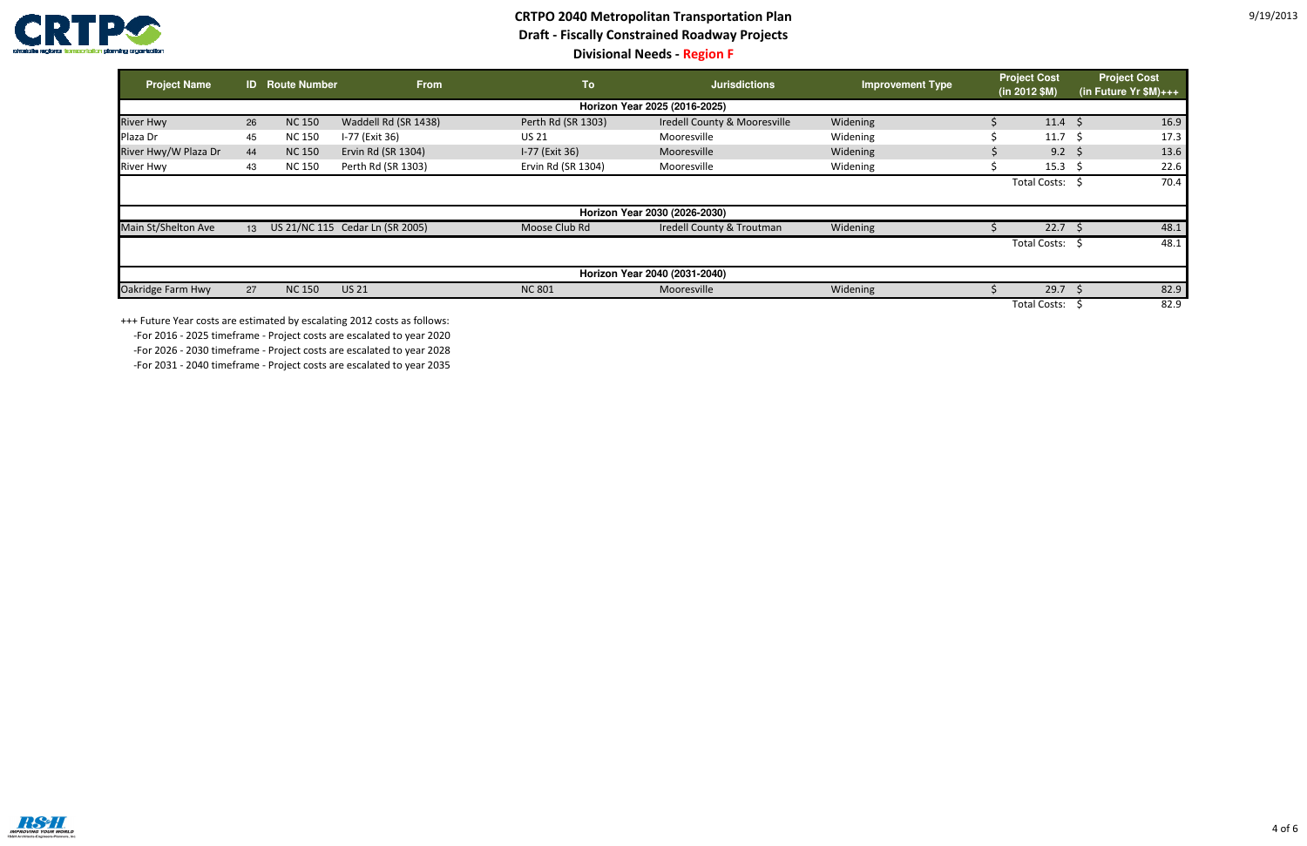

## **CRTPO 2040 Metropolitan Transportation Plan Draft - Fiscally Constrained Roadway ProjectsDivisional Needs - Region F**

| <b>Project Name</b>  |                 | <b>ID</b> Route Number | <b>From</b>                     | <b>To</b>          | <b>Jurisdictions</b>          | <b>Improvement Type</b> | <b>Project Cost</b><br>$(in 2012$ \$M) | <b>Project Cost</b><br>(in Future Yr $M$ )+++ |      |
|----------------------|-----------------|------------------------|---------------------------------|--------------------|-------------------------------|-------------------------|----------------------------------------|-----------------------------------------------|------|
|                      |                 |                        |                                 |                    | Horizon Year 2025 (2016-2025) |                         |                                        |                                               |      |
| <b>River Hwy</b>     | 26              | <b>NC 150</b>          | Waddell Rd (SR 1438)            | Perth Rd (SR 1303) | Iredell County & Mooresville  | Widening                | $11.4 \; \text{S}$                     |                                               | 16.9 |
| Plaza Dr             | 45              | <b>NC150</b>           | I-77 (Exit 36)                  | <b>US 21</b>       | Mooresville                   | Widening                | 11.7                                   | -S                                            | 17.3 |
| River Hwy/W Plaza Dr | 44              | <b>NC 150</b>          | Ervin Rd (SR 1304)              | I-77 (Exit 36)     | Mooresville                   | Widening                | 9.2                                    | -S                                            | 13.6 |
| <b>River Hwy</b>     | 43              | <b>NC 150</b>          | Perth Rd (SR 1303)              | Ervin Rd (SR 1304) | Mooresville                   | Widening                | 15.3                                   |                                               | 22.6 |
|                      |                 |                        |                                 |                    |                               |                         | <b>Total Costs:</b>                    |                                               | 70.4 |
|                      |                 |                        |                                 |                    | Horizon Year 2030 (2026-2030) |                         |                                        |                                               |      |
| Main St/Shelton Ave  | 13 <sup>1</sup> |                        | US 21/NC 115 Cedar Ln (SR 2005) | Moose Club Rd      | Iredell County & Troutman     | Widening                | 22.7                                   |                                               | 48.1 |
|                      |                 |                        |                                 |                    |                               |                         | <b>Total Costs:</b>                    |                                               | 48.1 |
|                      |                 |                        |                                 |                    | Horizon Year 2040 (2031-2040) |                         |                                        |                                               |      |
| Oakridge Farm Hwy    | 27              | <b>NC 150</b>          | <b>US 21</b>                    | <b>NC 801</b>      | Mooresville                   | Widening                | 29.7                                   |                                               | 82.9 |
|                      |                 |                        |                                 |                    |                               |                         | <b>Total Costs:</b>                    |                                               | 82.9 |

+++ Future Year costs are estimated by escalating 2012 costs as follows:

 -For 2016 - 2025 timeframe - Project costs are escalated to year 2020-For 2026 - 2030 timeframe - Project costs are escalated to year 2028

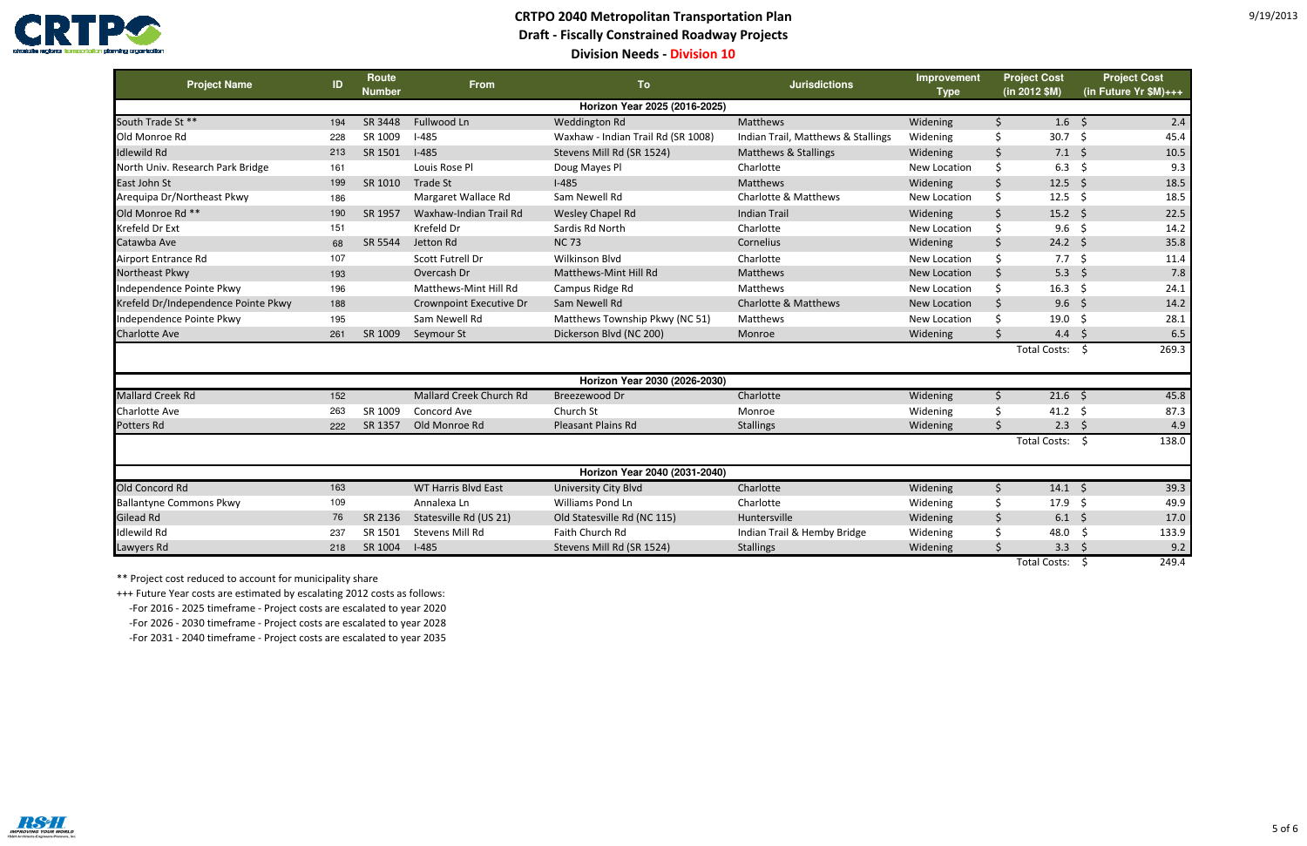

# **CRTPO 2040 Metropolitan Transportation PlanDraft - Fiscally Constrained Roadway Projects**

**Division Needs - Division 10**

| <b>Project Name</b>                 | ID  | Route<br><b>Number</b> | <b>From</b>                | <b>To</b>                          | <b>Jurisdictions</b>               | Improvement<br><b>Type</b> | <b>Project Cost</b><br>(in 2012 \$M) | <b>Project Cost</b><br>(in Future $Yr$ \$M)+++ |
|-------------------------------------|-----|------------------------|----------------------------|------------------------------------|------------------------------------|----------------------------|--------------------------------------|------------------------------------------------|
|                                     |     |                        |                            | Horizon Year 2025 (2016-2025)      |                                    |                            |                                      |                                                |
| South Trade St **                   | 194 | SR 3448                | Fullwood Ln                | Weddington Rd                      | Matthews                           | Widening                   | $\zeta$<br>$1.6 \quad $$             | 2.4                                            |
| Old Monroe Rd                       | 228 | SR 1009                | $I-485$                    | Waxhaw - Indian Trail Rd (SR 1008) | Indian Trail, Matthews & Stallings | Widening                   | Ŝ.<br>$30.7 \quad$ \$                | 45.4                                           |
| <b>Idlewild Rd</b>                  | 213 | SR 1501                | $I-485$                    | Stevens Mill Rd (SR 1524)          | Matthews & Stallings               | Widening                   | \$<br>$7.1 \; \text{S}$              | 10.5                                           |
| North Univ. Research Park Bridge    | 161 |                        | Louis Rose Pl              | Doug Mayes Pl                      | Charlotte                          | New Location               | \$<br>6.3                            | 9.3<br>-\$                                     |
| East John St                        | 199 | SR 1010                | <b>Trade St</b>            | $I-485$                            | Matthews                           | Widening                   | \$<br>12.5 \$                        | 18.5                                           |
| Arequipa Dr/Northeast Pkwy          | 186 |                        | Margaret Wallace Rd        | Sam Newell Rd                      | Charlotte & Matthews               | New Location               | \$<br>$12.5$ \$                      | 18.5                                           |
| Old Monroe Rd **                    | 190 | SR 1957                | Waxhaw-Indian Trail Rd     | Wesley Chapel Rd                   | <b>Indian Trail</b>                | Widening                   | $\zeta$<br>15.2 $\frac{2}{3}$        | 22.5                                           |
| Krefeld Dr Ext                      | 151 |                        | Krefeld Dr                 | Sardis Rd North                    | Charlotte                          | New Location               | \$<br>$9.6\frac{1}{2}$               | 14.2                                           |
| Catawba Ave                         | 68  | SR 5544                | Jetton Rd                  | <b>NC73</b>                        | Cornelius                          | Widening                   | $\zeta$<br>$24.2 \div$               | 35.8                                           |
| Airport Entrance Rd                 | 107 |                        | Scott Futrell Dr           | <b>Wilkinson Blvd</b>              | Charlotte                          | New Location               | \$<br>$7.7\frac{2}{3}$               | 11.4                                           |
| Northeast Pkwy                      | 193 |                        | Overcash Dr                | Matthews-Mint Hill Rd              | Matthews                           | New Location               | Ś.<br>5.3 \$                         | 7.8                                            |
| Independence Pointe Pkwy            | 196 |                        | Matthews-Mint Hill Rd      | Campus Ridge Rd                    | Matthews                           | New Location               | \$<br>16.3 \$                        | 24.1                                           |
| Krefeld Dr/Independence Pointe Pkwy | 188 |                        | Crownpoint Executive Dr    | Sam Newell Rd                      | <b>Charlotte &amp; Matthews</b>    | New Location               | Ś.<br>9.6%                           | 14.2                                           |
| Independence Pointe Pkwy            | 195 |                        | Sam Newell Rd              | Matthews Township Pkwy (NC 51)     | Matthews                           | New Location               | 19.0                                 | 28.1<br>-\$                                    |
| <b>Charlotte Ave</b>                | 261 | SR 1009                | Seymour St                 | Dickerson Blvd (NC 200)            | Monroe                             | Widening                   | 4.4 \$                               | 6.5                                            |
|                                     |     |                        |                            |                                    |                                    |                            | Total Costs: \$                      | 269.3                                          |
|                                     |     |                        |                            | Horizon Year 2030 (2026-2030)      |                                    |                            |                                      |                                                |
| <b>Mallard Creek Rd</b>             | 152 |                        | Mallard Creek Church Rd    | Breezewood Dr                      | Charlotte                          | Widening                   | $21.6$ \$<br>\$                      | 45.8                                           |
| Charlotte Ave                       | 263 | SR 1009                | Concord Ave                | Church St                          | Monroe                             | Widening                   | 41.2 \$                              | 87.3                                           |
| Potters Rd                          | 222 | SR 1357                | Old Monroe Rd              | Pleasant Plains Rd                 | <b>Stallings</b>                   | Widening                   | $2.3 \quad$<br>ς.                    | 4.9                                            |
|                                     |     |                        |                            |                                    |                                    |                            | <b>Total Costs:</b>                  | 138.0<br>- \$                                  |
|                                     |     |                        |                            | Horizon Year 2040 (2031-2040)      |                                    |                            |                                      |                                                |
| Old Concord Rd                      | 163 |                        | <b>WT Harris Blvd East</b> | University City Blvd               | Charlotte                          | Widening                   | Ŝ.<br>$14.1 \; \text{S}$             | 39.3                                           |
| <b>Ballantyne Commons Pkwy</b>      | 109 |                        | Annalexa Ln                | Williams Pond Ln                   | Charlotte                          | Widening                   | 17.9 \$                              | 49.9                                           |
| <b>Gilead Rd</b>                    | 76  | SR 2136                | Statesville Rd (US 21)     | Old Statesville Rd (NC 115)        | Huntersville                       | Widening                   | $\mathsf{S}$<br>$6.1 \quad $5$       | 17.0                                           |
| <b>Idlewild Rd</b>                  | 237 | SR 1501                | Stevens Mill Rd            | Faith Church Rd                    | Indian Trail & Hemby Bridge        | Widening                   | 48.0                                 | 133.9<br>-S                                    |
| Lawyers Rd                          | 218 | SR 1004                | $I-485$                    | Stevens Mill Rd (SR 1524)          | <b>Stallings</b>                   | Widening                   | $3.3\frac{1}{2}$                     | 9.2                                            |
|                                     |     |                        |                            |                                    |                                    |                            | <b>Total Costs:</b>                  | 249.4<br>-S                                    |

\*\* Project cost reduced to account for municipality share

+++ Future Year costs are estimated by escalating 2012 costs as follows:

-For 2016 - 2025 timeframe - Project costs are escalated to year 2020

-For 2026 - 2030 timeframe - Project costs are escalated to year 2028